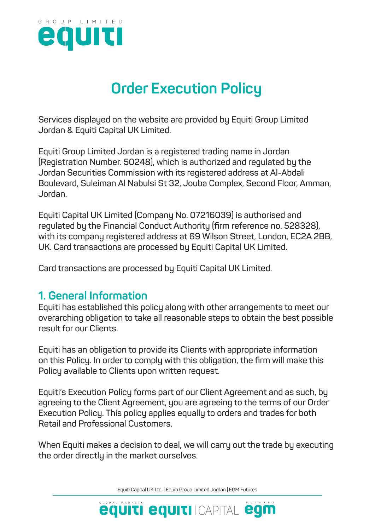

# **Order Execution Policy**

**Services displayed on the website are provided by Equiti Group Limited Jordan & Equiti Capital UK Limited.**

**Equiti Group Limited Jordan is a registered trading name in Jordan (Registration Number. 50248), which is authorized and regulated by the Jordan Securities Commission with its registered address at Al-Abdali Boulevard, Suleiman Al Nabulsi St 32, Jouba Complex, Second Floor, Amman, Jordan.**

**Equiti Capital UK Limited (Company No. 07216039) is authorised and regulated by the Financial Conduct Authority (firm reference no. 528328), with its company registered address at 69 Wilson Street, London, EC2A 2BB, UK. Card transactions are processed by Equiti Capital UK Limited.**

**Card transactions are processed by Equiti Capital UK Limited.**

### **1. General Information**

**Equiti has established this policy along with other arrangements to meet our overarching obligation to take all reasonable steps to obtain the best possible result for our Clients.** 

**Equiti has an obligation to provide its Clients with appropriate information on this Policy. In order to comply with this obligation, the firm will make this Policy available to Clients upon written request.**

**Equiti's Execution Policy forms part of our Client Agreement and as such, by agreeing to the Client Agreement, you are agreeing to the terms of our Order Execution Policy. This policy applies equally to orders and trades for both Retail and Professional Customers.**

**When Equiti makes a decision to deal, we will carry out the trade by executing the order directly in the market ourselves.** 

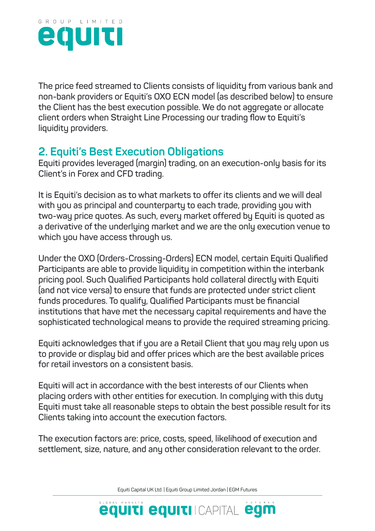

**The price feed streamed to Clients consists of liquidity from various bank and non-bank providers or Equiti's OXO ECN model (as described below) to ensure the Client has the best execution possible. We do not aggregate or allocate client orders when Straight Line Processing our trading flow to Equiti's liquidity providers.** 

## **2. Equiti's Best Execution Obligations**

**Equiti provides leveraged (margin) trading, on an execution-only basis for its Client's in Forex and CFD trading.** 

**It is Equiti's decision as to what markets to offer its clients and we will deal with you as principal and counterparty to each trade, providing you with two-way price quotes. As such, every market offered by Equiti is quoted as a derivative of the underlying market and we are the only execution venue to which you have access through us.**

**Under the OXO (Orders-Crossing-Orders) ECN model, certain Equiti Qualified Participants are able to provide liquidity in competition within the interbank pricing pool. Such Qualified Participants hold collateral directly with Equiti (and not vice versa) to ensure that funds are protected under strict client funds procedures. To qualify, Qualified Participants must be financial institutions that have met the necessary capital requirements and have the sophisticated technological means to provide the required streaming pricing.**

**Equiti acknowledges that if you are a Retail Client that you may rely upon us to provide or display bid and offer prices which are the best available prices for retail investors on a consistent basis.**

**Equiti will act in accordance with the best interests of our Clients when placing orders with other entities for execution. In complying with this duty Equiti must take all reasonable steps to obtain the best possible result for its Clients taking into account the execution factors.**

**The execution factors are: price, costs, speed, likelihood of execution and settlement, size, nature, and any other consideration relevant to the order.** 

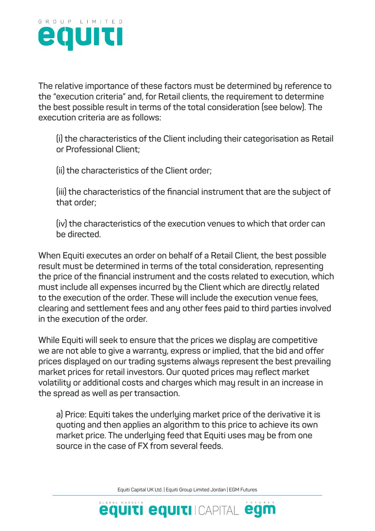

**The relative importance of these factors must be determined by reference to the "execution criteria" and, for Retail clients, the requirement to determine the best possible result in terms of the total consideration (see below). The execution criteria are as follows:**

**(i) the characteristics of the Client including their categorisation as Retail or Professional Client;**

**(ii) the characteristics of the Client order;**

**(iii) the characteristics of the financial instrument that are the subject of that order;**

**(iv) the characteristics of the execution venues to which that order can be directed.**

**When Equiti executes an order on behalf of a Retail Client, the best possible result must be determined in terms of the total consideration, representing the price of the financial instrument and the costs related to execution, which must include all expenses incurred by the Client which are directly related to the execution of the order. These will include the execution venue fees, clearing and settlement fees and any other fees paid to third parties involved in the execution of the order.** 

**While Equiti will seek to ensure that the prices we display are competitive we are not able to give a warranty, express or implied, that the bid and offer prices displayed on our trading systems always represent the best prevailing market prices for retail investors. Our quoted prices may reflect market volatility or additional costs and charges which may result in an increase in the spread as well as per transaction.**

**a) Price: Equiti takes the underlying market price of the derivative it is quoting and then applies an algorithm to this price to achieve its own market price. The underlying feed that Equiti uses may be from one source in the case of FX from several feeds.**

Equiti Capital UK Ltd. | Equiti Group Limited Jordan | EGM Futures

**equiti equiti** Icapital egm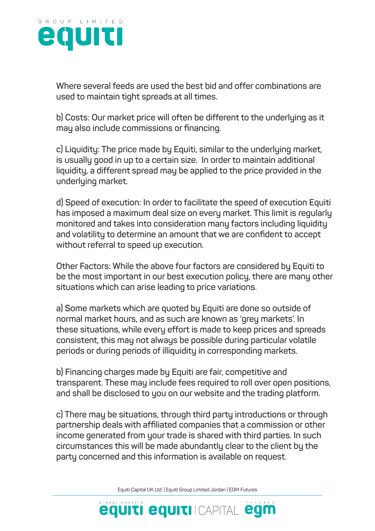

**Where several feeds are used the best bid and offer combinations are used to maintain tight spreads at all times.**

**b) Costs: Our market price will often be different to the underlying as it may also include commissions or financing.**

**c) Liquidity: The price made by Equiti, similar to the underlying market, is usually good in up to a certain size. In order to maintain additional liquidity, a different spread may be applied to the price provided in the underlying market.**

**d) Speed of execution: In order to facilitate the speed of execution Equiti has imposed a maximum deal size on every market. This limit is regularly monitored and takes into consideration many factors including liquidity and volatility to determine an amount that we are confident to accept without referral to speed up execution.**

**Other Factors: While the above four factors are considered by Equiti to be the most important in our best execution policy, there are many other situations which can arise leading to price variations.**

**a) Some markets which are quoted by Equiti are done so outside of normal market hours, and as such are known as 'grey markets'. In these situations, while every effort is made to keep prices and spreads consistent, this may not always be possible during particular volatile periods or during periods of illiquidity in corresponding markets.**

**b) Financing charges made by Equiti are fair, competitive and transparent. These may include fees required to roll over open positions, and shall be disclosed to you on our website and the trading platform.**

**c) There may be situations, through third party introductions or through partnership deals with affiliated companies that a commission or other income generated from your trade is shared with third parties. In such circumstances this will be made abundantly clear to the client by the party concerned and this information is available on request.**

Equiti Capital UK Ltd. | Equiti Group Limited Jordan | EGM Futures

**equiti equiti CAPITAL egm**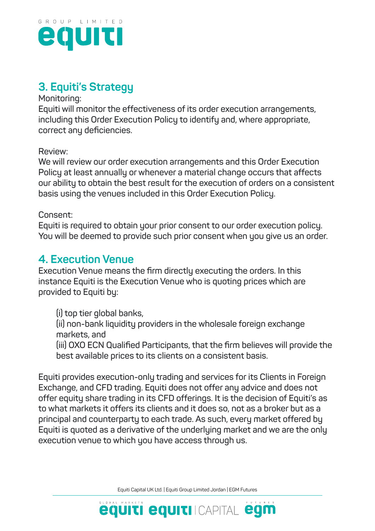

# **3. Equiti's Strategy**

#### **Monitoring:**

**Equiti will monitor the effectiveness of its order execution arrangements, including this Order Execution Policy to identify and, where appropriate, correct any deficiencies.** 

**Review:**

**We will review our order execution arrangements and this Order Execution Policy at least annually or whenever a material change occurs that affects our ability to obtain the best result for the execution of orders on a consistent basis using the venues included in this Order Execution Policy.** 

#### **Consent:**

**Equiti is required to obtain your prior consent to our order execution policy. You will be deemed to provide such prior consent when you give us an order.**

### **4. Execution Venue**

**Execution Venue means the firm directly executing the orders. In this instance Equiti is the Execution Venue who is quoting prices which are provided to Equiti by:**

**(i) top tier global banks, (ii) non-bank liquidity providers in the wholesale foreign exchange markets, and (iii) OXO ECN Qualified Participants, that the firm believes will provide the best available prices to its clients on a consistent basis.**

**Equiti provides execution-only trading and services for its Clients in Foreign Exchange, and CFD trading. Equiti does not offer any advice and does not offer equity share trading in its CFD offerings. It is the decision of Equiti's as to what markets it offers its clients and it does so, not as a broker but as a principal and counterparty to each trade. As such, every market offered by Equiti is quoted as a derivative of the underlying market and we are the only execution venue to which you have access through us.**